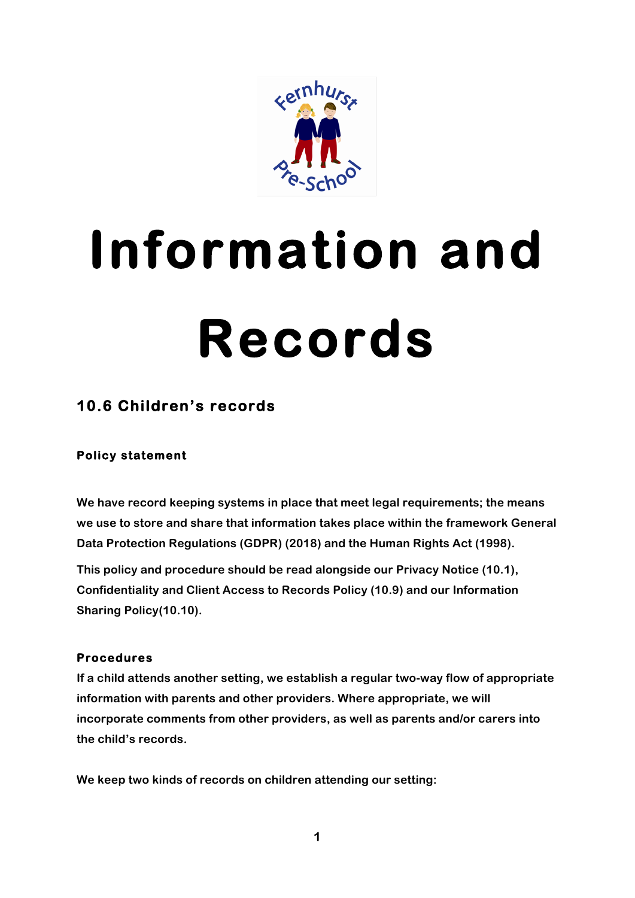

# **Information and Records**

## **10.6 Children's records**

### **Policy statement**

**We have record keeping systems in place that meet legal requirements; the means we use to store and share that information takes place within the framework General Data Protection Regulations (GDPR) (2018) and the Human Rights Act (1998).**

**This policy and procedure should be read alongside our Privacy Notice (10.1), Confidentiality and Client Access to Records Policy (10.9) and our Information Sharing Policy(10.10).**

#### **Procedures**

**If a child attends another setting, we establish a regular two-way flow of appropriate information with parents and other providers. Where appropriate, we will incorporate comments from other providers, as well as parents and/or carers into the child's records.**

**We keep two kinds of records on children attending our setting:**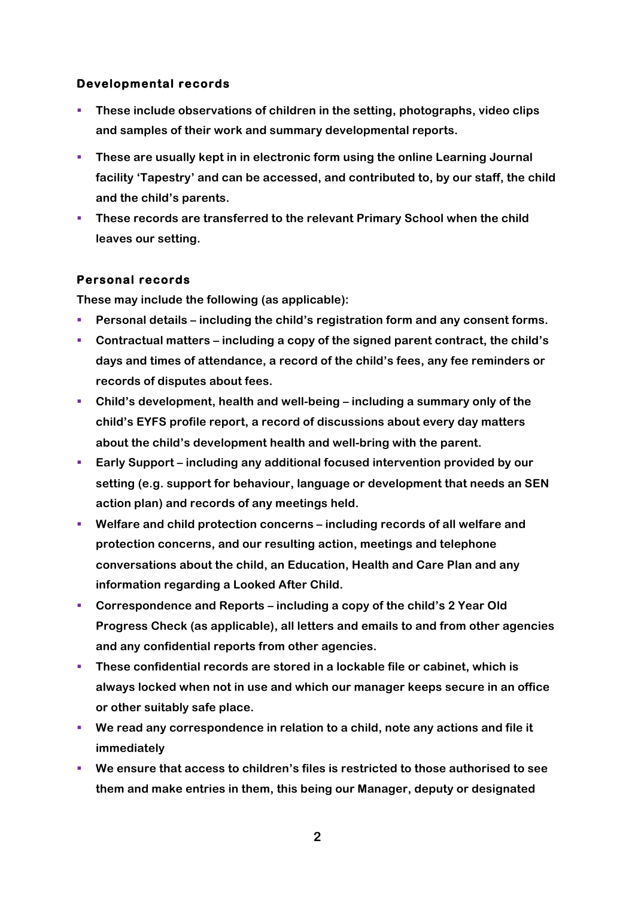#### **Developmental records**

- § **These include observations of children in the setting, photographs, video clips and samples of their work and summary developmental reports.**
- **These are usually kept in in electronic form using the online Learning Journal facility 'Tapestry' and can be accessed, and contributed to, by our staff, the child and the child's parents.**
- § **These records are transferred to the relevant Primary School when the child leaves our setting.**

#### **Personal records**

**These may include the following (as applicable):**

- § **Personal details – including the child's registration form and any consent forms.**
- § **Contractual matters – including a copy of the signed parent contract, the child's days and times of attendance, a record of the child's fees, any fee reminders or records of disputes about fees.**
- § **Child's development, health and well-being – including a summary only of the child's EYFS profile report, a record of discussions about every day matters about the child's development health and well-bring with the parent.**
- § **Early Support – including any additional focused intervention provided by our setting (e.g. support for behaviour, language or development that needs an SEN action plan) and records of any meetings held.**
- § **Welfare and child protection concerns – including records of all welfare and protection concerns, and our resulting action, meetings and telephone conversations about the child, an Education, Health and Care Plan and any information regarding a Looked After Child.**
- § **Correspondence and Reports – including a copy of the child's 2 Year Old Progress Check (as applicable), all letters and emails to and from other agencies and any confidential reports from other agencies.**
- § **These confidential records are stored in a lockable file or cabinet, which is always locked when not in use and which our manager keeps secure in an office or other suitably safe place.**
- § **We read any correspondence in relation to a child, note any actions and file it immediately**
- We ensure that access to children's files is restricted to those authorised to see **them and make entries in them, this being our Manager, deputy or designated**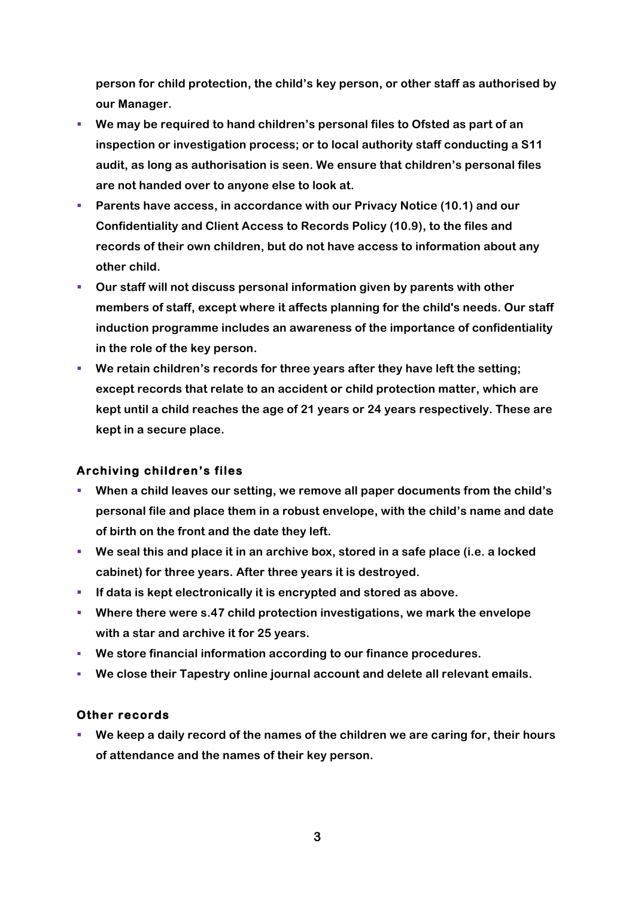**person for child protection, the child's key person, or other staff as authorised by our Manager.**

- We may be required to hand children's personal files to Ofsted as part of an **inspection or investigation process; or to local authority staff conducting a S11 audit, as long as authorisation is seen. We ensure that children's personal files are not handed over to anyone else to look at.**
- § **Parents have access, in accordance with our Privacy Notice (10.1) and our Confidentiality and Client Access to Records Policy (10.9), to the files and records of their own children, but do not have access to information about any other child.**
- § **Our staff will not discuss personal information given by parents with other members of staff, except where it affects planning for the child's needs. Our staff induction programme includes an awareness of the importance of confidentiality in the role of the key person.**
- § **We retain children's records for three years after they have left the setting; except records that relate to an accident or child protection matter, which are kept until a child reaches the age of 21 years or 24 years respectively. These are kept in a secure place.**

#### **Archiving children's files**

- § **When a child leaves our setting, we remove all paper documents from the child's personal file and place them in a robust envelope, with the child's name and date of birth on the front and the date they left.**
- We seal this and place it in an archive box, stored in a safe place (i.e. a locked **cabinet) for three years. After three years it is destroyed.**
- § **If data is kept electronically it is encrypted and stored as above.**
- § **Where there were s.47 child protection investigations, we mark the envelope with a star and archive it for 25 years.**
- § **We store financial information according to our finance procedures.**
- § **We close their Tapestry online journal account and delete all relevant emails.**

#### **Other records**

§ **We keep a daily record of the names of the children we are caring for, their hours of attendance and the names of their key person.**